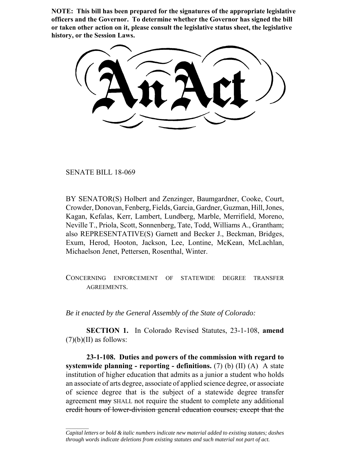**NOTE: This bill has been prepared for the signatures of the appropriate legislative officers and the Governor. To determine whether the Governor has signed the bill or taken other action on it, please consult the legislative status sheet, the legislative history, or the Session Laws.**

SENATE BILL 18-069

 $\frac{1}{2}$ 

BY SENATOR(S) Holbert and Zenzinger, Baumgardner, Cooke, Court, Crowder, Donovan, Fenberg, Fields, Garcia, Gardner, Guzman, Hill, Jones, Kagan, Kefalas, Kerr, Lambert, Lundberg, Marble, Merrifield, Moreno, Neville T., Priola, Scott, Sonnenberg, Tate, Todd, Williams A., Grantham; also REPRESENTATIVE(S) Garnett and Becker J., Beckman, Bridges, Exum, Herod, Hooton, Jackson, Lee, Lontine, McKean, McLachlan, Michaelson Jenet, Pettersen, Rosenthal, Winter.

CONCERNING ENFORCEMENT OF STATEWIDE DEGREE TRANSFER AGREEMENTS.

*Be it enacted by the General Assembly of the State of Colorado:*

**SECTION 1.** In Colorado Revised Statutes, 23-1-108, **amend**  $(7)(b)(II)$  as follows:

**23-1-108. Duties and powers of the commission with regard to systemwide planning - reporting - definitions.** (7) (b) (II) (A) A state institution of higher education that admits as a junior a student who holds an associate of arts degree, associate of applied science degree, or associate of science degree that is the subject of a statewide degree transfer agreement may SHALL not require the student to complete any additional credit hours of lower-division general education courses; except that the

*Capital letters or bold & italic numbers indicate new material added to existing statutes; dashes through words indicate deletions from existing statutes and such material not part of act.*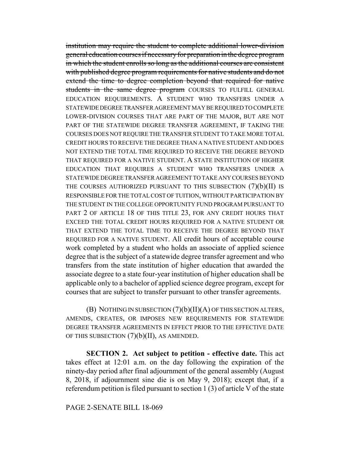institution may require the student to complete additional lower-division general education courses if necessary for preparation in the degree program in which the student enrolls so long as the additional courses are consistent with published degree program requirements for native students and do not extend the time to degree completion beyond that required for native students in the same degree program COURSES TO FULFILL GENERAL EDUCATION REQUIREMENTS. A STUDENT WHO TRANSFERS UNDER A STATEWIDE DEGREE TRANSFER AGREEMENT MAY BE REQUIRED TO COMPLETE LOWER-DIVISION COURSES THAT ARE PART OF THE MAJOR, BUT ARE NOT PART OF THE STATEWIDE DEGREE TRANSFER AGREEMENT, IF TAKING THE COURSES DOES NOT REQUIRE THE TRANSFER STUDENT TO TAKE MORE TOTAL CREDIT HOURS TO RECEIVE THE DEGREE THAN A NATIVE STUDENT AND DOES NOT EXTEND THE TOTAL TIME REQUIRED TO RECEIVE THE DEGREE BEYOND THAT REQUIRED FOR A NATIVE STUDENT. A STATE INSTITUTION OF HIGHER EDUCATION THAT REQUIRES A STUDENT WHO TRANSFERS UNDER A STATEWIDE DEGREE TRANSFER AGREEMENT TO TAKE ANY COURSES BEYOND THE COURSES AUTHORIZED PURSUANT TO THIS SUBSECTION (7)(b)(II) IS RESPONSIBLE FOR THE TOTAL COST OF TUITION, WITHOUT PARTICIPATION BY THE STUDENT IN THE COLLEGE OPPORTUNITY FUND PROGRAM PURSUANT TO PART 2 OF ARTICLE 18 OF THIS TITLE 23, FOR ANY CREDIT HOURS THAT EXCEED THE TOTAL CREDIT HOURS REQUIRED FOR A NATIVE STUDENT OR THAT EXTEND THE TOTAL TIME TO RECEIVE THE DEGREE BEYOND THAT REQUIRED FOR A NATIVE STUDENT. All credit hours of acceptable course work completed by a student who holds an associate of applied science degree that is the subject of a statewide degree transfer agreement and who transfers from the state institution of higher education that awarded the associate degree to a state four-year institution of higher education shall be applicable only to a bachelor of applied science degree program, except for courses that are subject to transfer pursuant to other transfer agreements.

(B) NOTHING IN SUBSECTION (7)(b)(II)(A) OF THIS SECTION ALTERS, AMENDS, CREATES, OR IMPOSES NEW REQUIREMENTS FOR STATEWIDE DEGREE TRANSFER AGREEMENTS IN EFFECT PRIOR TO THE EFFECTIVE DATE OF THIS SUBSECTION  $(7)(b)(II)$ , AS AMENDED.

**SECTION 2. Act subject to petition - effective date.** This act takes effect at 12:01 a.m. on the day following the expiration of the ninety-day period after final adjournment of the general assembly (August 8, 2018, if adjournment sine die is on May 9, 2018); except that, if a referendum petition is filed pursuant to section 1 (3) of article V of the state

## PAGE 2-SENATE BILL 18-069